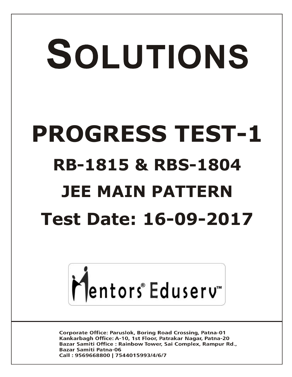# SOLUTIONS **PROGRESS TEST-1 RB-1815 & RBS-1804 JEE MAIN PATTERN Test Date: 16-09-2017**



**Corporate Office: Paruslok, Boring Road Crossing, Patna-01** Kankarbagh Office: A-10, 1st Floor, Patrakar Nagar, Patna-20 Bazar Samiti Office: Rainbow Tower, Sai Complex, Rampur Rd., **Bazar Samiti Patna-06** Call: 9569668800 | 7544015993/4/6/7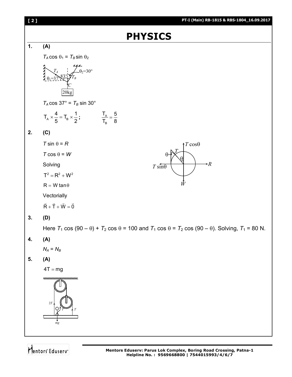| [2]            | PT-I (Main) RB-1815 & RBS-1804_16.09.2017                                                                                     |  |  |  |
|----------------|-------------------------------------------------------------------------------------------------------------------------------|--|--|--|
| <b>PHYSICS</b> |                                                                                                                               |  |  |  |
| 1.             | (A)                                                                                                                           |  |  |  |
|                | $T_A \cos \theta_1 = T_B \sin \theta_2$                                                                                       |  |  |  |
|                | $\begin{matrix} 1 \\ 0 \\ 0 \end{matrix}$<br>$- \theta_2 = 30^{\circ}$<br>20kg                                                |  |  |  |
|                | $T_A \cos 37^\circ = T_B \sin 30^\circ$                                                                                       |  |  |  |
|                | $T_A \times \frac{4}{5} = T_B \times \frac{1}{2}$ ; $\qquad \qquad \frac{T_A}{T_B} = \frac{5}{8}$                             |  |  |  |
| 2.             | (C)                                                                                                                           |  |  |  |
|                | $T \sin \theta = R$<br>$\uparrow T \cos \theta$                                                                               |  |  |  |
|                | $T \cos \theta = W$<br>$\theta$                                                                                               |  |  |  |
|                | $\rightarrow R$<br>Solving<br>$T \sin\theta$                                                                                  |  |  |  |
|                | $T^2 = R^2 + W^2$                                                                                                             |  |  |  |
|                | Ŵ<br>$R = W \tan \theta$                                                                                                      |  |  |  |
|                | Vectorially                                                                                                                   |  |  |  |
|                | $\vec{R} + \vec{T} + \vec{W} = \vec{0}$                                                                                       |  |  |  |
| 3.             | (D)                                                                                                                           |  |  |  |
|                | Here $T_1 \cos (90 - \theta) + T_2 \cos \theta = 100$ and $T_1 \cos \theta = T_2 \cos (90 - \theta)$ . Solving, $T_1 = 80$ N. |  |  |  |
| 4.             | (A)                                                                                                                           |  |  |  |
|                | $N_A = N_B$                                                                                                                   |  |  |  |
| 5.             | (A)                                                                                                                           |  |  |  |
|                | $4T = mg$                                                                                                                     |  |  |  |
|                | ,,,,,,,,,,,,,,,,,,,,,,,,,,,,,,<br>$2\sqrt{T}$<br>mg                                                                           |  |  |  |

Mentors Eduserv<sup>-</sup>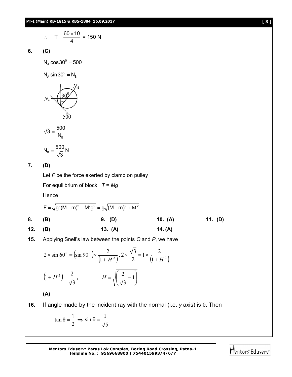$$
\therefore T = \frac{60 \times 10}{4} = 150 \text{ N}
$$

**6. (C)**

 $N_A \cos 30^\circ = 500$ 

 $N_A \sin 30^\circ = N_B$ 

$$
N_B \left(\frac{30^9}{500}\right)^{N_A}
$$

$$
\sqrt{3} = \frac{500}{N_{\text{B}}}
$$

$$
N_{\rm B}=\frac{500}{\sqrt{3}}N
$$

**7. (D)**

Let *F* be the force exerted by clamp on pulley

For equilibrium of block *T* = *Mg*

**Hence** 

$$
F = \sqrt{g^{2}(M+m)^{2} + M^{2}g^{2}} = g\sqrt{(M+m)^{2} + M^{2}}
$$
\n8. (B)\n9. (D)\n10. (A)\n11. (D)\n12. (B)\n13. (A)\n14. (A)

**15.** Applying Snell's law between the points *O* and *P*, we have

$$
2 \times \sin 60^\circ = (\sin 90^\circ) \times \frac{2}{(1+H^2)}, 2 \times \frac{\sqrt{3}}{2} = 1 \times \frac{2}{(1+H^2)}
$$

$$
(1+H^2) = \frac{2}{\sqrt{3}}, \qquad H = \sqrt{\left(\frac{2}{\sqrt{3}} - 1\right)}
$$

$$
(\mathsf{A})
$$

**16.** If angle made by the incident ray with the normal (i.e.  $y$  axis) is  $\theta$ . Then

$$
\tan \theta = \frac{1}{2} \implies \sin \theta = \frac{1}{\sqrt{5}}
$$

**Mentors Eduserv: Parus Lok Complex, Boring Road Crossing, Patna-1 Helpline No. : 9569668800 | 7544015993/4/6/7**

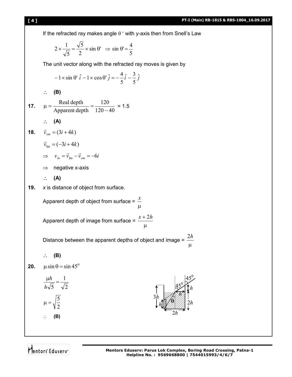

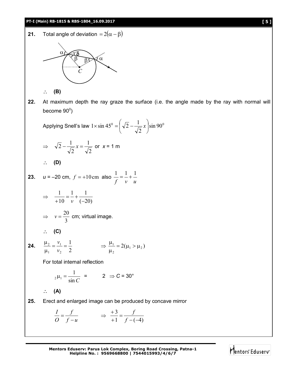#### **PT-I (Main) RB-1815 & RBS-1804\_16.09.2017 [ 5 ]**

**21.** Total angle of deviation  $= 2(\alpha - \beta)$ 



**(B)**

**22.** At maximum depth the ray graze the surface (i.e. the angle made by the ray with normal will become 90 $^{\rm o}$ )

Applying Snell's law 
$$
1 \times \sin 45^\circ = \left(\sqrt{2} - \frac{1}{\sqrt{2}}x\right) \sin 90^\circ
$$

$$
\Rightarrow \sqrt{2} - \frac{1}{\sqrt{2}} x = \frac{1}{\sqrt{2}} \text{ or } x = 1 \text{ m}
$$

$$
\therefore (D)
$$

23. 
$$
u = -20
$$
 cm,  $f = +10$  cm also  $\frac{1}{f} = \frac{1}{v} + \frac{1}{u}$   
\n $\Rightarrow \frac{1}{+10} = \frac{1}{v} + \frac{1}{(-20)}$ 

$$
\Rightarrow v = \frac{20}{3}
$$
 cm; virtual image.

$$
\therefore (C)
$$

**24.** 
$$
\frac{\mu_2}{\mu_1} = \frac{v_1}{v_2} = \frac{1}{2}
$$
  $\Rightarrow \frac{\mu_1}{\mu_2} = 2(\mu_1 > \mu_2)$ 

For total internal reflection

$$
{}_{2}\mu_{1} = \frac{1}{\sin C} = 2 \Rightarrow C = 30^{\circ}
$$

$$
\therefore (A)
$$

**25.** Erect and enlarged image can be produced by concave mirror

$$
\frac{I}{O} = \frac{f}{f - u} \qquad \Rightarrow \ \frac{+3}{+1} = \frac{f}{f - (-4)}
$$

**Mentors Eduserv: Parus Lok Complex, Boring Road Crossing, Patna-1 Helpline No. : 9569668800 | 7544015993/4/6/7**

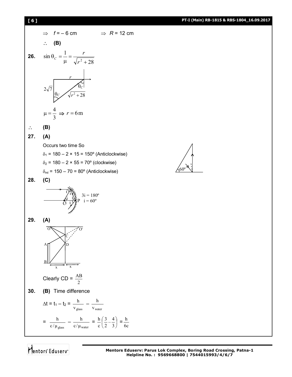

Mentors<sup>e</sup> Eduserv<sup>-</sup>

60º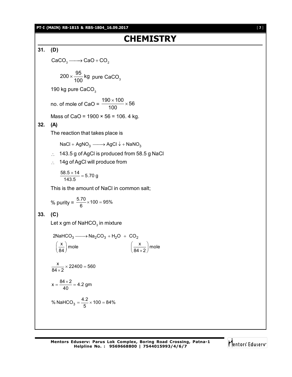#### **PT-I (MAIN) RB-1815 & RBS-1804\_16.09.2017** [ **7** ]

## **CHEMISTRY**

**31. (D)**  $CaCO<sub>3</sub> \longrightarrow CaO + CO<sub>2</sub>$  $200 \times \frac{95}{120}$  kg  $\times \frac{100}{100}$  kg pure CaCO<sub>3</sub> 190 kg pure CaCO<sub>3</sub> no. of mole of CaO =  $\frac{190 \times 100}{400} \times 56$ 100  $\frac{\times 100}{22}$   $\times$ Mass of CaO =  $1900 \times 56 = 106$ . 4 kg. **32. (A)** The reaction that takes place is  $NaCl + AgNO<sub>3</sub> \longrightarrow AgCl \downarrow + NaNO<sub>3</sub>$  $\therefore$  143.5 g of AgCl is produced from 58.5 g NaCl : 14g of AgCl will produce from  $\frac{58.5 \times 14}{143.5} = 5.70$  g  $\frac{\times 14}{\sqrt{2}}$  = This is the amount of NaCl in common salt; % purity =  $\frac{5.70}{6} \times 100 = 95\%$ **33. (C)** Let x gm of NaHCO $_{\scriptscriptstyle 3}$  in mixture 2NaHCO $_3 \longrightarrow$ Na<sub>2</sub>CO<sub>3</sub> + H<sub>2</sub>O + CO<sub>2</sub>  $\left(\frac{\mathsf{x}}{84}\right)$ mole  $\left(\frac{\mathsf{x}}{84 \times 2}\right)$ mole  $\frac{x}{84 \times 2}$   $\times$  22400 = 560  $x = \frac{84 \times 2}{40} = 4.2$  gm  $=\frac{84\times2}{12}=4$ % NaHCO<sub>3</sub> =  $\frac{4.2}{5}$  × 100 = 84%

$$
\bigl|\bigcap^{\bullet} \mathsf{entors}^{\circ} \mathsf{Eduser} \, \big|
$$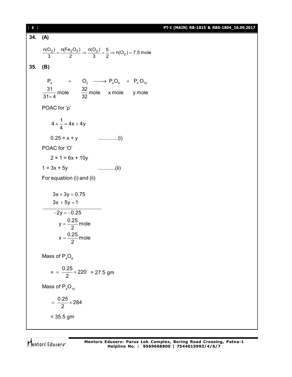| 8 ]     |                                                                                                                                                                                                                    | PT-I (MAIN) RB-1815 & RBS-1804_16.09.2017 |
|---------|--------------------------------------------------------------------------------------------------------------------------------------------------------------------------------------------------------------------|-------------------------------------------|
| 34. (A) |                                                                                                                                                                                                                    |                                           |
|         | $\frac{n(O_2)}{3} = \frac{n(Fe_2O_3)}{2} \Rightarrow \frac{n(O_2)}{3} = \frac{5}{2} \Rightarrow n(O_2) = 7.5$ mole                                                                                                 |                                           |
| 35.     | (B)                                                                                                                                                                                                                |                                           |
|         | $\mathsf{P}_4 \qquad \quad + \qquad \mathsf{O}_2 \ \; \longrightarrow \; \mathsf{P}_4\mathsf{O}_6 \quad \, + \;\; \mathsf{P}_4\,\mathsf{O}_{10}$<br>$\frac{31}{31\times4}$ mole $\frac{32}{32}$ mole x mole y mole |                                           |
|         | POAC for 'p'                                                                                                                                                                                                       |                                           |
|         | $4 \times \frac{1}{4} = 4x + 4y$                                                                                                                                                                                   |                                           |
|         |                                                                                                                                                                                                                    |                                           |
|         | POAC for 'O'                                                                                                                                                                                                       |                                           |
|         | $2 \times 1 = 6x + 10y$                                                                                                                                                                                            |                                           |
|         | $1 = 3x + 5y$                                                                                                                                                                                                      |                                           |
|         | For equatiion (i) and (ii)                                                                                                                                                                                         |                                           |
|         | $3x + 3y = 0.75$<br>$3x + 5y = 1$<br>$\overline{-2y} = -0.25$<br>$y = \frac{0.25}{2}$ mole<br>$x = \frac{0.25}{2}$ mole                                                                                            |                                           |
|         | Mass of $P_4O_6$                                                                                                                                                                                                   |                                           |
|         | $=$ = $\frac{0.25}{2}$ × 220 = 27.5 gm                                                                                                                                                                             |                                           |
|         | Mass of $P_4O_{10}$                                                                                                                                                                                                |                                           |
|         | $=\frac{0.25}{2} \times 284$                                                                                                                                                                                       |                                           |
|         | $= 35.5$ gm                                                                                                                                                                                                        |                                           |
|         |                                                                                                                                                                                                                    |                                           |

Mentors<sup>®</sup> Eduserv<sup>®</sup>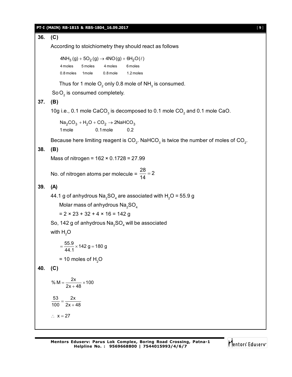#### **PT-I (MAIN) RB-1815 & RBS-1804\_16.09.2017** [ **9** ]

**36. (C)** According to stoichiometry they should react as follows  $4NH_3(g) + 5O_2(g) \rightarrow 4NO(g) + 6H_2O(\ell)$ 4 moles 5 moles 4 moles 6 moles 0.8 moles 1 mole 0.8 mole 1.2 moles Thus for 1 mole  $\mathrm{O}_2$  only 0.8 mole of NH $_{_3}$  is consumed.  $SoO<sub>2</sub>$  is consumed completely. **37. (B)** 10g i.e., 0.1 mole CaCO<sub>3</sub> is decomposed to 0.1 mole CO<sub>2</sub> and 0.1 mole CaO.  $\textsf{Na}_2\textsf{CO}_3 + \textsf{H}_2\textsf{O} + \textsf{CO}_2 \rightarrow 2\textsf{NaHCO}_3$ 1mole 0.1mole 0.2 Because here limiting reagent is CO<sub>2</sub>. NaHCO<sub>3</sub> is twice the number of moles of CO<sub>2</sub>. **38. (B)** Mass of nitrogen = 162 × 0.1728 = 27.99 No. of nitrogen atoms per molecule =  $\frac{28}{44}$  = 2 14  $=$ **39. (A)** 44.1 g of anhydrous Na $_{\rm 2}$ SO $_{\rm 4}$  are associated with H $_{\rm 2}$ O = 55.9 g Molar mass of anhydrous  $Na<sub>2</sub>SO<sub>4</sub>$  $= 2 \times 23 + 32 + 4 \times 16 = 142$  g So, 142 g of anhydrous Na ${\rm _2SO}_{\rm 4}$  will be associated with  $H<sub>2</sub>O$  $=\frac{55.9}{44.1}\times 142$  g = 180 g  $= 10$  moles of H<sub>2</sub>O **40. (C)** % M =  $\frac{2x}{2x + 48} \times 100$ 53 2x  $\frac{100}{100} = \frac{2x}{2x + 48}$  $\therefore$   $x = 27$ 

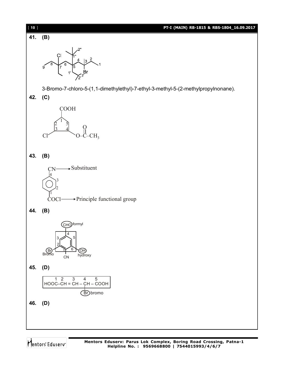

Mentors<sup>e</sup> Eduserv<sup>-</sup>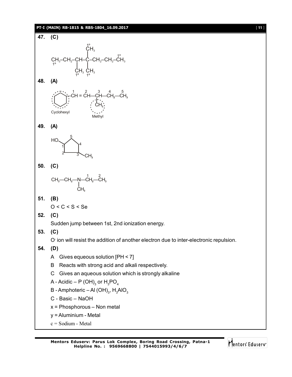#### **PT-I (MAIN) RB-1815 & RBS-1804\_16.09.2017** [ **11** ]



Methyl



Cyclohexyl



### **50. (C)**

$$
\begin{array}{c}\nCH_3\text{---}CH_2\text{---}N\text{---}CH_2\text{---}CH_3\\ \downarrow\\ CH_3\n\end{array}
$$

### **51. (B)**

$$
O < C < S < Se
$$

**52. (C)**

Sudden jump between 1st, 2nd ionization energy.

**53. (C)**

O- ion will resist the addition of another electron due to inter-electronic repulsion.

**54. (D)**

- A Gives equeous solution [PH < 7]
- B Reacts with strong acid and alkali respectively.
- C Gives an aqueous solution which is strongly alkaline
- A Acidic P (OH) $_{\rm 3}$  or  ${\rm H}_{\rm 3}$ PO $_{\rm 4}$
- B Amphoteric Al (OH) $_{3}$ , H $_{3}$ AlO $_{3}$
- C Basic NaOH
- x = Phosphorous Non metal
- y = Aluminium Metal
- c = Sodium Metal

Mentors Eduserv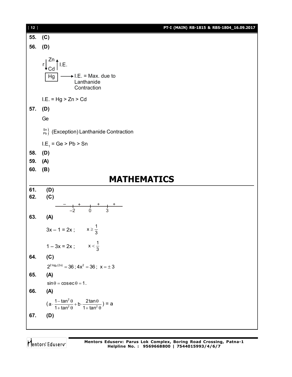

Mentors<sup>®</sup> Eduserv<sup>®</sup>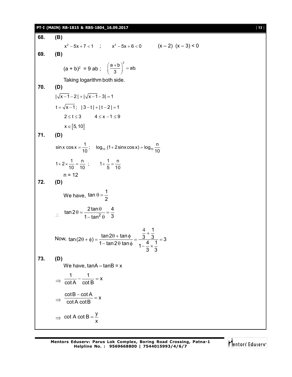#### **PT-I (MAIN) RB-1815 & RBS-1804\_16.09.2017** [ **13** ]

**68. (B)**  $x^2 - 5x + 7 < 1$  ;  $x^2 - 5x + 6 < 0$   $(x - 2) (x - 3) < 0$ **69. (B)**  $(a + b)^2 = 9$  ab;  $\left(\frac{a+b}{2}\right)^2 = ab.$ 3  $\left(\frac{a+b}{3}\right)^2 =$ Taking logarithm both side. **70. (D)**  $|\sqrt{x-1} - 2| + |\sqrt{x-1} - 3| = 1$  $t = \sqrt{x-1}$ ;  $|3-t| + |t-2| = 1$  $2 \le t \le 3$   $4 \le x - 1 \le 9$  $x \in [5, 10]$ **71. (D)**  $\sin x \cos x = \frac{1}{10}$ ;  $\log_{10} (1 + 2 \sin x \cos x) = \log_{10} \frac{n}{10}$  $1+2\times\frac{1}{10}=\frac{n}{10}$ ;  $1+\frac{1}{5}=\frac{n}{10}$  $n = 12$ **72. (D)** We have,  $\tan \theta = \frac{1}{2}$ 2  $\theta = \therefore \quad \tan 2\theta = \frac{2\tan\theta}{1-\tan^2\theta} = \frac{4}{3}$  $1 - \tan^2 \theta$  3  $\theta = \frac{2\tan\theta}{2} = \frac{4}{3}$  $-$  tan $^2$   $\theta$ Now, 1  $\tan(2\theta + \phi) = \frac{\tan 2\theta + \tan \phi}{\sin 2\theta + \sin 3\theta} = \frac{\sqrt{3} + \sqrt{3}}{4} = 3$ 1-tan2 $\theta$  tan $\phi$   $1-\frac{4}{2}\times\frac{1}{2}$ 3 3  $(\theta + \phi) = \frac{\tan 2\theta + \tan \phi}{\tan 2\theta + \tan \phi} = \frac{\frac{4}{3} + \frac{1}{3}}{\frac{4}{3} + \frac{1}{3}} = 3$  $-$ tan2 $\theta$  tan $\phi$   $1-\frac{4}{2} \times \frac{4}{2}$ **73. (D)** We have,  $tanA - tanB = x$  $\Rightarrow$  $\frac{1}{1}$  -  $\frac{1}{1}$  = x cot A cot B  $-\frac{1}{15}$  = 1  $\Rightarrow$  $\frac{\cot B - \cot A}{\sin A} = x$ cot A cotB  $\frac{-\cot A}{\sqrt{R}} =$  $\Rightarrow$ cot A cot B  $=$   $\frac{y}{x}$ x  $=$ 

Mentors<sup>®</sup> Eduserv<sup>®</sup>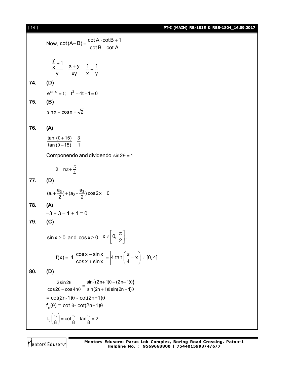[ **14** ] **PT-I (MAIN) RB-1815 & RBS-1804\_16.09.2017**

Now,  $\cot(A-B) = \frac{\cot A \cdot \cot B + 1}{\cot B \cdot \cot A}$  $\cot B - \cot A$  $-B) = \frac{\cot A \cdot \cot B + 1}{12}$ - $\frac{y}{x}+1 = \frac{x+y}{x} = \frac{1}{x}+1$ y xy x y  $=\frac{\frac{y}{x}+1}{x}=\frac{x+y}{x}=\frac{1}{x}+1$ **74. (D)**  $e^{\sin x} = t$ ;  $t^2 - 4t - 1 = 0$ **75. (B)**  $\sin x + \cos x = \sqrt{2}$ **76. (A)** tan  $(\theta + 15)$  3 tan ( $\theta$  – 15) 1  $\frac{\left(\theta+15\right)}{\left(\theta-15\right)}=$ Componendo and dividendo  $sin 2\theta = 1$  $n\pi + \frac{\pi}{4}$  $\theta = n\pi + \frac{\pi}{4}$ **77. (D)**  $(a_1 + \frac{a_3}{2}) + (a_2 - \frac{a_3}{2}) \cos 2x = 0$ **78. (A)**  $-3 + 3 - 1 + 1 = 0$ **79. (C)**  $\sin x \ge 0$  and  $\cos x \ge 0$   $x \in \left[0, \frac{\pi}{2}\right]$  $\in \left[0, \frac{\pi}{2}\right].$  $f(x) = \left| 4 \frac{\cos x - \sin x}{1} \right| = \left| 4 \tan \left( \frac{\pi}{4} - x \right) \right| \in [0, 4]$  $\cos x + \sin x$  4  $=\left|4 \frac{\cos x - \sin x}{\cos x + \sin x}\right| = \left|4 \tan \left(\frac{\pi}{4} - x\right)\right| \in \mathbb{R}$ **80. (D)**  $2\sin 2\theta$   $\sin \{(2n+1)\theta-(2n-1)\theta\}$  $\cos 2\theta - \cos 4n\theta$  sin(2n + 1) $\theta \sin(2n - 1)$  $\frac{2 \sin 2\theta}{\theta - \cos 4n\theta} = \frac{\sin \{(2n+1)\theta - (2n-1)\theta\}}{\sin (2n+1)\theta \sin (2n-1)\theta}$  $= \cot(2n-1)\theta - \cot(2n+1)\theta$  $f_n(\theta) = \cot \theta - \cot(2n+1)\theta$  $f_5\left(\frac{\pi}{8}\right) = \cot\frac{\pi}{8} - \tan\frac{\pi}{8} = 2$  $\left(\frac{\pi}{8}\right)$  = cot  $\frac{\pi}{8}$  – tan  $\frac{\pi}{8}$  = 2

Mentors Eduserv